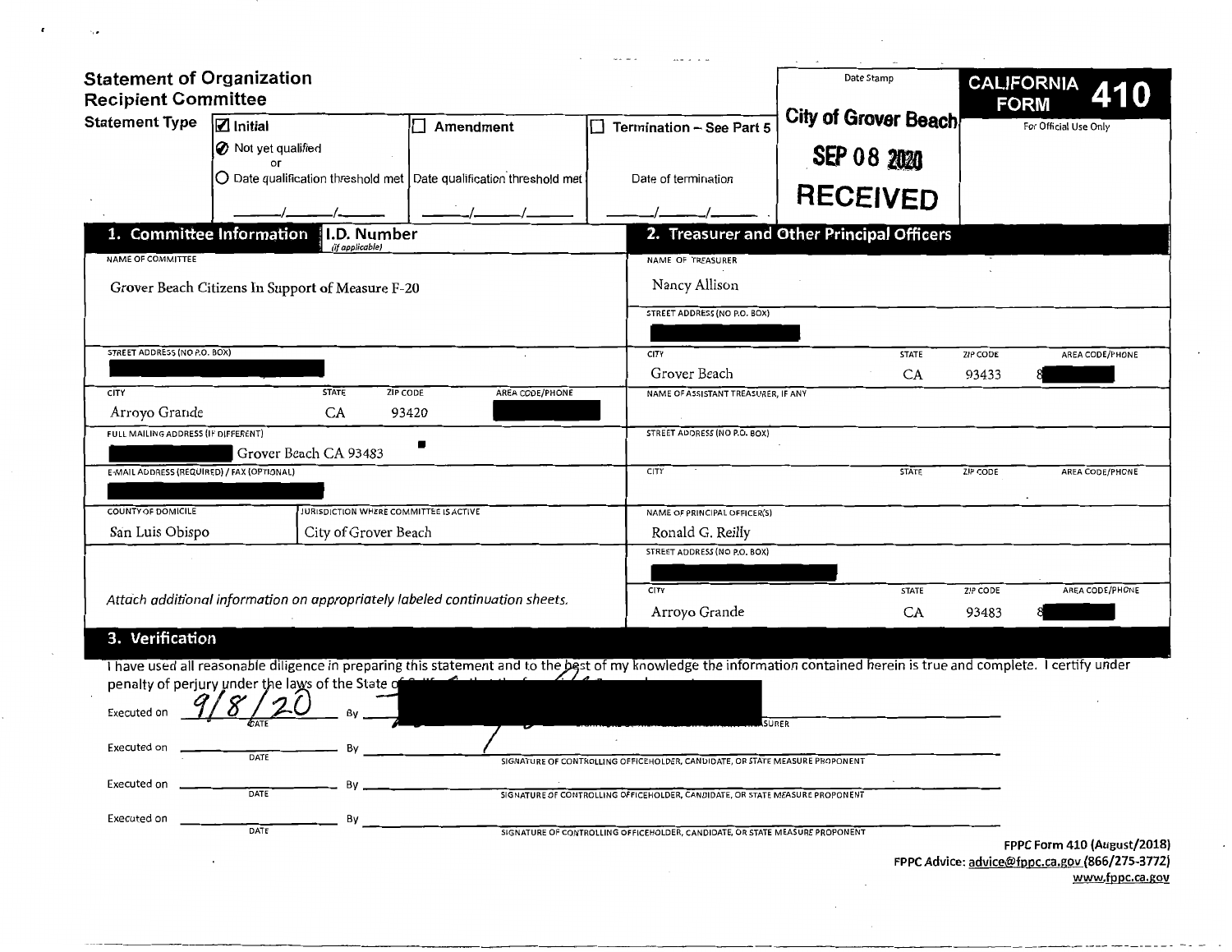| <b>Statement of Organization</b><br><b>Recipient Committee</b> |                                                                                                                                                                         |                  |                                                                              | Date Stamp                                | <b>CALIFORNIA</b><br><b>FORM</b>                                              |
|----------------------------------------------------------------|-------------------------------------------------------------------------------------------------------------------------------------------------------------------------|------------------|------------------------------------------------------------------------------|-------------------------------------------|-------------------------------------------------------------------------------|
| <b>Statement Type</b>                                          | <b>Z</b> Initial                                                                                                                                                        | $\Box$ Amendment | Termination - See Part 5<br>$\perp$                                          | City of Grover Beach                      | For Official Use Only                                                         |
|                                                                | O Not yet qualified                                                                                                                                                     |                  |                                                                              |                                           |                                                                               |
|                                                                | OГ                                                                                                                                                                      |                  |                                                                              | SEP 08 2020                               |                                                                               |
|                                                                | $\bigcirc$ Date qualification threshold met $\bigcirc$ Date qualification threshold met                                                                                 |                  | Date of termination                                                          | <b>RECEIVED</b>                           |                                                                               |
|                                                                |                                                                                                                                                                         |                  |                                                                              |                                           |                                                                               |
|                                                                | 1. Committee Information<br>I.D. Number<br>(if applicable)                                                                                                              |                  |                                                                              | 2. Treasurer and Other Principal Officers |                                                                               |
| NAME OF COMMITTEE                                              |                                                                                                                                                                         |                  | NAME OF TREASURER                                                            |                                           |                                                                               |
|                                                                | Grover Beach Citizens In Support of Measure F-20                                                                                                                        |                  | Nancy Allison                                                                |                                           |                                                                               |
|                                                                |                                                                                                                                                                         |                  | STREET ADDRESS (NO P.O. BOX)                                                 |                                           |                                                                               |
|                                                                |                                                                                                                                                                         |                  |                                                                              |                                           |                                                                               |
| STREET ADDRESS (NO P.O. BOX)                                   |                                                                                                                                                                         |                  | CITY                                                                         | <b>STATE</b>                              | ZIP CODE<br>AREA CODE/PHONE                                                   |
|                                                                |                                                                                                                                                                         |                  | Grover Beach                                                                 | CA                                        | 93433                                                                         |
| CITY                                                           | <b>STATE</b><br>ZIP CODE                                                                                                                                                | AREA CODE/PHONE  | NAME OF ASSISTANT TREASURER, IF ANY                                          |                                           |                                                                               |
| Arroyo Grande                                                  | CA                                                                                                                                                                      | 93420            |                                                                              |                                           |                                                                               |
| FULL MAILING ADDRESS (IF DIFFERENT)                            |                                                                                                                                                                         |                  | STREET ADDRESS (NO P.O. BOX)                                                 |                                           |                                                                               |
| E-MAIL ADDRESS (REQUIRED) / FAX (OPTIONAL)                     | Grover Beach CA 93483                                                                                                                                                   |                  | CITY                                                                         | <b>STATE</b>                              | AREA CODE/PHONE<br><b>ZIP CODE</b>                                            |
|                                                                |                                                                                                                                                                         |                  |                                                                              |                                           |                                                                               |
| <b>COUNTY OF DOMICILE</b>                                      | <b>JURISDICTION WHERE COMMITTEE IS ACTIVE</b>                                                                                                                           |                  | NAME OF PRINCIPAL OFFICER(S)                                                 |                                           |                                                                               |
| San Luis Obispo                                                | City of Grover Beach                                                                                                                                                    |                  | Ronald G. Reilly                                                             |                                           |                                                                               |
|                                                                |                                                                                                                                                                         |                  | STREET ADDRESS (NO P.O. BOX)                                                 |                                           |                                                                               |
|                                                                |                                                                                                                                                                         |                  |                                                                              |                                           |                                                                               |
|                                                                | Attach additional information on appropriately labeled continuation sheets.                                                                                             |                  | <b>CITY</b>                                                                  | <b>STATE</b>                              | ZIP CODE<br>AREA CODE/PHONE                                                   |
|                                                                |                                                                                                                                                                         |                  | Arroyo Grande                                                                | CA                                        | 93483                                                                         |
| 3. Verification                                                |                                                                                                                                                                         |                  |                                                                              |                                           |                                                                               |
|                                                                | I have used all reasonable diligence in preparing this statement and to the best of my knowledge the information contained herein is true and complete. I certify under |                  |                                                                              |                                           |                                                                               |
|                                                                | penalty of perjury under the laws of the State of                                                                                                                       |                  |                                                                              |                                           |                                                                               |
| Executed on                                                    |                                                                                                                                                                         |                  |                                                                              |                                           |                                                                               |
|                                                                |                                                                                                                                                                         |                  |                                                                              | SURER                                     |                                                                               |
| Executed on                                                    | Bv<br>DATE                                                                                                                                                              |                  | SIGNATURE OF CONTROLLING OFFICEHOLDER, CANDIDATE, OR STATE MEASURE PROPONENT |                                           |                                                                               |
|                                                                |                                                                                                                                                                         |                  |                                                                              |                                           |                                                                               |
| Executed on                                                    | By<br>DATE                                                                                                                                                              |                  | SIGNATURE OF CONTROLLING OFFICEHOLDER, CANDIDATE, OR STATE MEASURE PROPONENT |                                           |                                                                               |
| Executed on                                                    | By                                                                                                                                                                      |                  |                                                                              |                                           |                                                                               |
|                                                                | DATE                                                                                                                                                                    |                  | SIGNATURE OF CONTROLLING OFFICEHOLDER, CANDIDATE, OR STATE MEASURE PROPONENT |                                           | FPPC Form 410 (August/2018)<br>FPPC Advice: advice@fnnc.ca.gov (866/275-3772) |

 $\pmb{\epsilon}$ 

 $\sim$   $\bullet$ 

**FPPC Advice: advice@fppc.ca.gov (866/275-3772) www.fppc.ca.gov** 

 $\frac{1}{2} \frac{1}{2} \frac{d^2y}{dx^2}$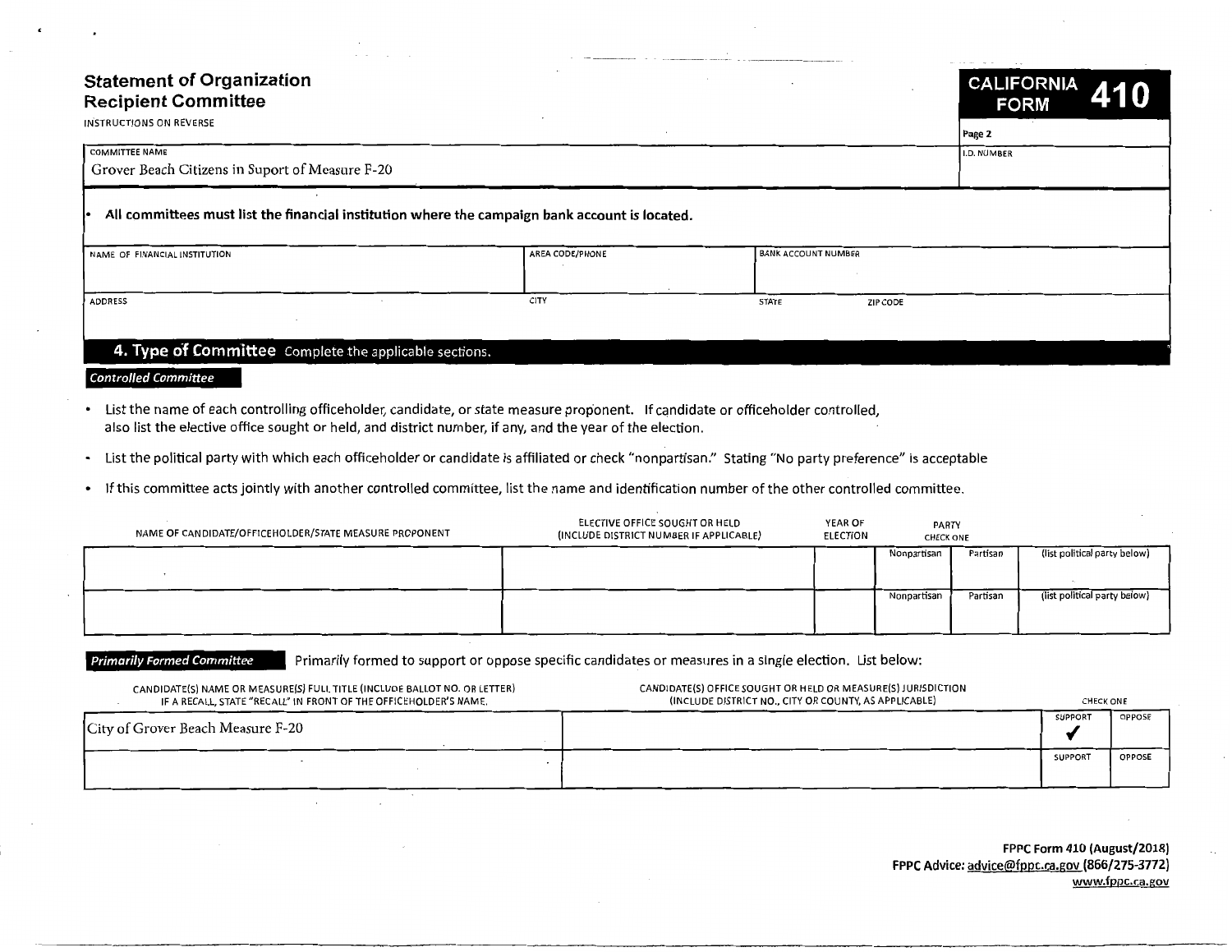# **Statement of Organization Recipient Committee**

| <b>Statement of Organization</b><br><b>Recipient Committee</b> |                                                                                                |                            | CALIFORNIA 410<br><b>FORM</b> |
|----------------------------------------------------------------|------------------------------------------------------------------------------------------------|----------------------------|-------------------------------|
| INSTRUCTIONS ON REVERSE                                        |                                                                                                |                            | Page 2                        |
| <b>COMMITTEE NAME</b>                                          |                                                                                                |                            | I.D. NUMBER                   |
| Grover Beach Citizens in Suport of Measure F-20                |                                                                                                |                            |                               |
|                                                                | All committees must list the financial institution where the campaign bank account is located. |                            |                               |
| NAME OF FINANCIAL INSTITUTION                                  | AREA CODE/PHONE                                                                                | <b>BANK ACCOUNT NUMBER</b> |                               |
| <b>ADDRESS</b>                                                 | CITY                                                                                           | <b>STATE</b>               | ZIP CODE                      |
|                                                                |                                                                                                |                            |                               |
| 4. Type of Committee Complete the applicable sections.         |                                                                                                |                            |                               |

**Controlled Committee** 

- List the name of each controlling officeholder, candidate, or state measure proponent. If candidate or officeholder controlled, also list the elective office sought or held, and district number, if any, and the year of the election.
- List the political party with which each officeholder or candidate is affiliated or check "nonpartisan." Stating "No party preference" is acceptable
- If this committee acts jointly with another controlled committee, list the name and identification number of the other controlled committee.

| NAME OF CANDIDATE/OFFICEHOLDER/STATE MEASURE PROPONENT | ELECTIVE OFFICE SOUGHT OR HELD<br>(INCLUDE DISTRICT NUMBER IF APPLICABLE) | YEAR OF<br><b>ELECTION</b> | <b>PARTY</b><br><b>CHECK ONE</b> |          |                              |
|--------------------------------------------------------|---------------------------------------------------------------------------|----------------------------|----------------------------------|----------|------------------------------|
|                                                        |                                                                           |                            | Nonpartisan                      | Partisan | (list political party below) |
|                                                        |                                                                           |                            | Nonpartisan                      | Partisan | (list political party below) |

# **Primarily Formed Committee** Primarily formed to support or oppose specific candidates or measures in a single election. List below:

| CANDIDATE(S) NAME OR MEASURE(S) FULL TITLE (INCLUDE BALLOT NO. OR LETTER)<br>IF A RECALL, STATE "RECALL" IN FRONT OF THE OFFICEHOLDER'S NAME. | CANDIDATE(S) OFFICE SOUGHT OR HELD OR MEASURE(S) JURISDICTION<br>(INCLUDE DISTRICT NO., CITY OR COUNTY, AS APPLICABLE) |                | <b>CHECK ONE</b> |  |
|-----------------------------------------------------------------------------------------------------------------------------------------------|------------------------------------------------------------------------------------------------------------------------|----------------|------------------|--|
| City of Grover Beach Measure F-20                                                                                                             |                                                                                                                        | <b>SUPPORT</b> | OPPOSE           |  |
|                                                                                                                                               |                                                                                                                        | <b>SUPPORT</b> | <b>OPPOSE</b>    |  |

**FPPC Form 410 (August/2018) FPPC Advice:** advice@fppc.ca.gov **(866/275-3772)**  www.fppc.ca.gov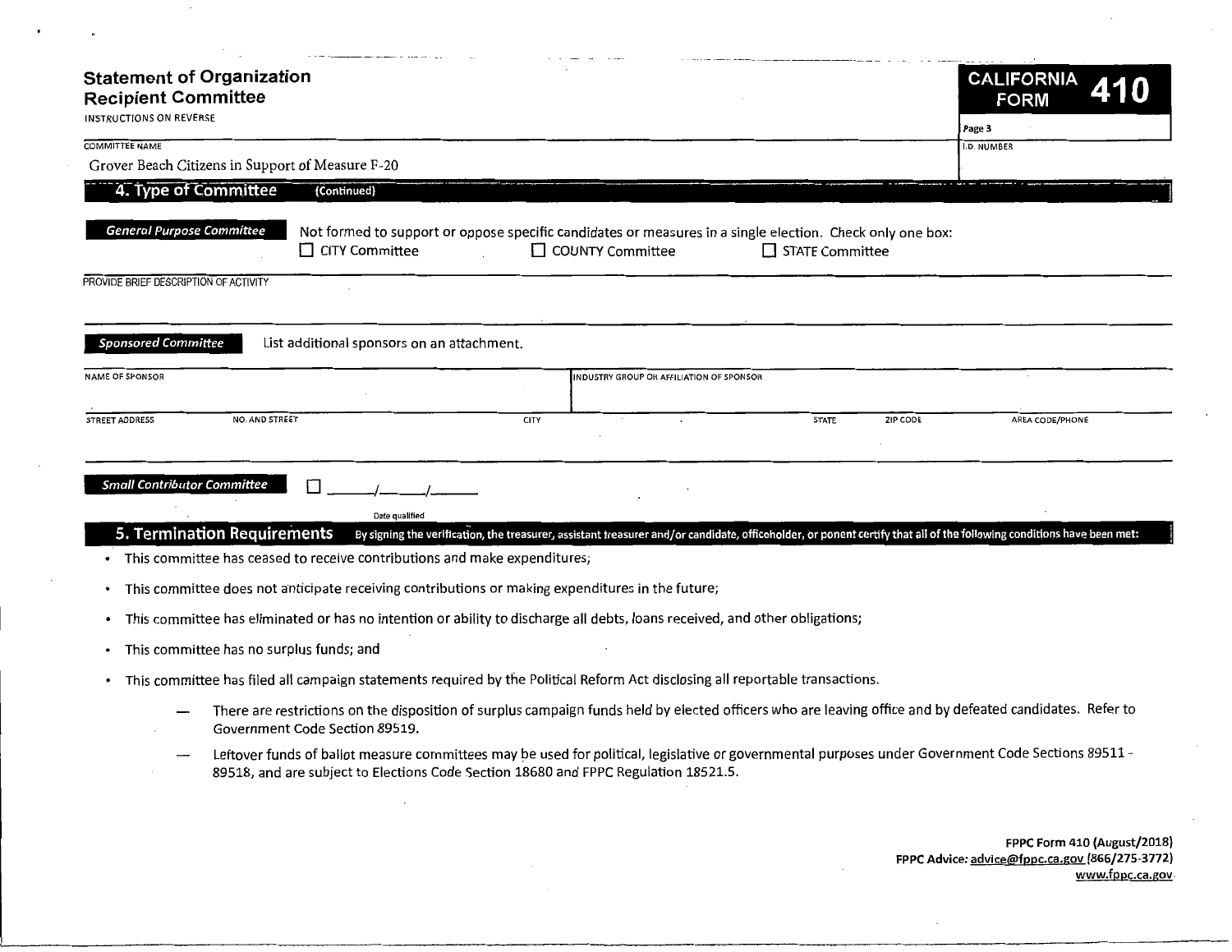| <b>Statement of Organization</b><br><b>Recipient Committee</b> |                                                                                                                                                                                                                                           |                         |                                                                                                                                                                       |          | <b>CALIFORNIA</b><br><b>FORM</b> |
|----------------------------------------------------------------|-------------------------------------------------------------------------------------------------------------------------------------------------------------------------------------------------------------------------------------------|-------------------------|-----------------------------------------------------------------------------------------------------------------------------------------------------------------------|----------|----------------------------------|
| INSTRUCTIONS ON REVERSE                                        |                                                                                                                                                                                                                                           |                         |                                                                                                                                                                       |          | Page 3                           |
| <b>COMMITTEE NAME</b>                                          | Grover Beach Citizens in Support of Measure F-20                                                                                                                                                                                          |                         |                                                                                                                                                                       |          | I.D. NUMBER                      |
| 4. Type of Committee                                           | (Continued)                                                                                                                                                                                                                               |                         |                                                                                                                                                                       |          |                                  |
|                                                                |                                                                                                                                                                                                                                           |                         |                                                                                                                                                                       |          |                                  |
| <b>General Purpose Committee</b>                               | CITY Committee                                                                                                                                                                                                                            | $\Box$ COUNTY Committee | Not formed to support or oppose specific candidates or measures in a single election. Check only one box:<br>$\Box$ STATE Committee                                   |          |                                  |
| PROVIDE BRIEF DESCRIPTION OF ACTIVITY                          |                                                                                                                                                                                                                                           |                         |                                                                                                                                                                       |          |                                  |
|                                                                |                                                                                                                                                                                                                                           |                         |                                                                                                                                                                       |          |                                  |
| <b>Sponsored Committee</b>                                     | List additional sponsors on an attachment.                                                                                                                                                                                                |                         |                                                                                                                                                                       |          |                                  |
| <b>NAME OF SPONSOR</b>                                         |                                                                                                                                                                                                                                           |                         | INDUSTRY GROUP OR AFFILIATION OF SPONSOR                                                                                                                              |          |                                  |
| <b>STREET ADDRESS</b>                                          | NO. AND STREET                                                                                                                                                                                                                            | <b>CITY</b>             | <b>STATE</b>                                                                                                                                                          | ZIP CODE | AREA CODE/PHONE                  |
|                                                                |                                                                                                                                                                                                                                           |                         |                                                                                                                                                                       |          |                                  |
| <b>Small Contributor Committee</b>                             |                                                                                                                                                                                                                                           |                         |                                                                                                                                                                       |          |                                  |
|                                                                | Date qualified                                                                                                                                                                                                                            |                         |                                                                                                                                                                       |          |                                  |
|                                                                | <b>5. Termination Requirements</b><br>This committee has ceased to receive contributions and make expenditures;                                                                                                                           |                         | By signing the verification, the treasurer, assistant treasurer and/or candidate, officeholder, or ponent certify that all of the following conditions have been met: |          |                                  |
|                                                                |                                                                                                                                                                                                                                           |                         |                                                                                                                                                                       |          |                                  |
| $\bullet$                                                      | This committee does not anticipate receiving contributions or making expenditures in the future;                                                                                                                                          |                         |                                                                                                                                                                       |          |                                  |
| ٠                                                              | This committee has eliminated or has no intention or ability to discharge all debts, loans received, and other obligations;                                                                                                               |                         |                                                                                                                                                                       |          |                                  |
|                                                                | This committee has no surplus funds; and                                                                                                                                                                                                  |                         |                                                                                                                                                                       |          |                                  |
|                                                                | This committee has filed all campaign statements required by the Political Reform Act disclosing all reportable transactions.                                                                                                             |                         |                                                                                                                                                                       |          |                                  |
|                                                                | There are restrictions on the disposition of surplus campaign funds held by elected officers who are leaving office and by defeated candidates. Refer to<br>Government Code Section 89519.                                                |                         |                                                                                                                                                                       |          |                                  |
|                                                                | Leftover funds of ballot measure committees may be used for political, legislative or governmental purposes under Government Code Sections 89511 -<br>89518, and are subject to Elections Code Section 18680 and FPPC Regulation 18521.5. |                         |                                                                                                                                                                       |          |                                  |

 $\cdot$ 

**FPPC Form 410 (August/2018) FPPC Advice: advice@fppc.ca.gov (866/275-3772) www.fppc.ca.gov.** 

 $\Box$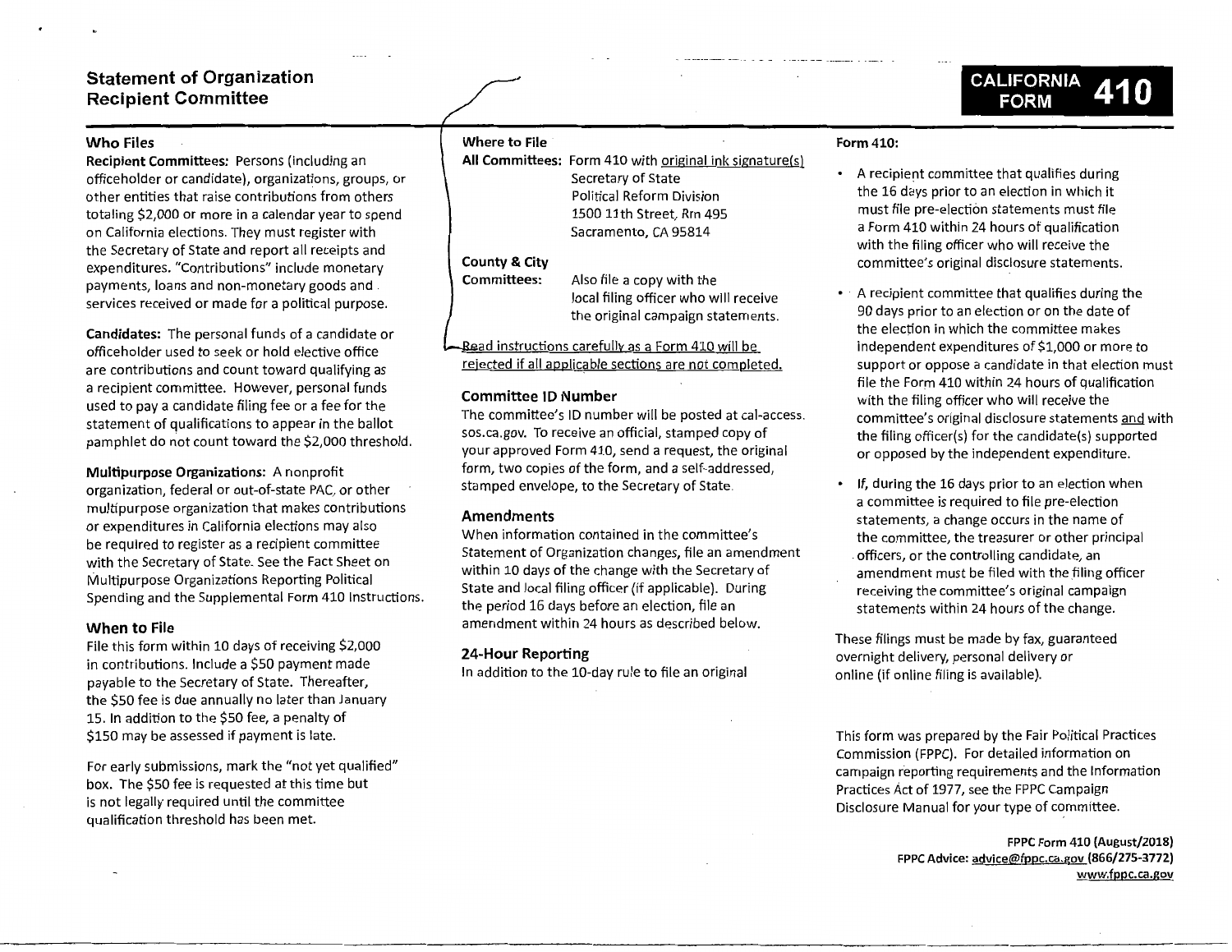# **Statement of Organization Recipient Committee**

# **Who Files**

**Recipient Committees:** Persons (including an officeholder or candidate), organizations, groups, or other entities that raise contributions from others totaling \$2,000 or more in a calendar year to spend on California elections. They must register with the Secretary of State and report all receipts and expenditures. "Contributions" include monetary payments, loans and non-monetary goods and services received or made for a political purpose.

**Candidates:** The personal funds of a candidate or officeholder used to seek or hold elective office are contributions and count toward qualifying as a recipient committee. However, personal funds used to pay a candidate filing fee or a fee for the statement of qualifications to appear in the ballot pamphlet do not count toward the \$2,000 threshold.

**Multipurpose Organizations:** A nonprofit organization, federal or out-of-state PAC, or other multipurpose organization that makes contributions or expenditures in California elections may also be required to register as a recipient committee with the Secretary of State. See the Fact Sheet on Multipurpose Organizations Reporting Political Spending and the Supplemental Form 410 Instructions.

### **When to File**

File this form within 10 days of receiving \$2,000 in contributions. Include a \$50 payment made payable to the Secretary of State. Thereafter, the \$50 fee is due annually no later than January 15. In addition to the \$50 fee, a penalty of \$150 may be assessed if payment is late.

For early submissions, mark the "not yet qualified" box. The \$50 fee is requested at this time but is not legally required until the committee qualification threshold has been met.

#### **Where to File**

All Committees: Form 410 with original ink signature(s) Secretary of State Political Reform Division 1500 11th Street, Rm 495 Sacramento, CA 95814

# **County** & **City**

**Committees:** 

Also file a copy with the local filing officer who will receive the original campaign statements.

<u>Bead instructions carefully as a Form 410 will be</u> rejected if all applicable sections are not completed.

## **Committee ID Number**

The committee's ID number will be posted at cal-access. sos.ca.gov. To receive an official, stamped copy of your approved Form 410, send a request, the original form, two copies of the form, and a self-addressed, stamped envelope, to the Secretary of State.

# **Amendments**

When information contained in the committee's Statement of Organization changes, file an amendment within 10 days of the change with the Secretary of State and local filing officer (if applicable). During the period 16 days before an election, file an amendment within 24 hours as described below.

# **24-Hour Reporting**

In addition to the 10-day rule to file an original

# **Form 410:**

- A recipient committee that qualifies during the 16 days prior to an election in which it must file pre-election statements must file a Form 410 within 24 hours of qualification with the filing officer who will receive the committee's original disclosure statements.
- · A recipient committee that qualifies during the 90 days prior to an election or on the date of the election in which the committee makes independent expenditures of \$1,000 or more to support or oppose a candidate in that election must file the Form 410 within 24 hours of qualification with the filing officer who will receive the committee's original disclosure statements and with the filing officer(s) for the candidate(s) supported or opposed by the independent expenditure.
- If, during the 16 days prior to an election when a committee is required to file pre-election statements, a change occurs in the name of the committee, the treasurer or other principal . officers, or the controlling candidate, an amendment must be filed with the filing officer receiving the committee's original campaign statements within 24 hours of the change.

These filings must be made by fax, guaranteed overnight delivery, personal delivery or on line (if online filing is available).

This form was prepared by the Fair Political Practices Commission (FPPC). For detailed information on campaign reporting requirements and the Information Practices Act of 1977, see the FPPC Campaign Disclosure Manual for your type of committee.

> FPPC Form 410 (August/2018) FPPC Advice: advice@fppc.ca.gov {866/275-3772) www.fppc.ca.gov

**CALIFORNIA FORM**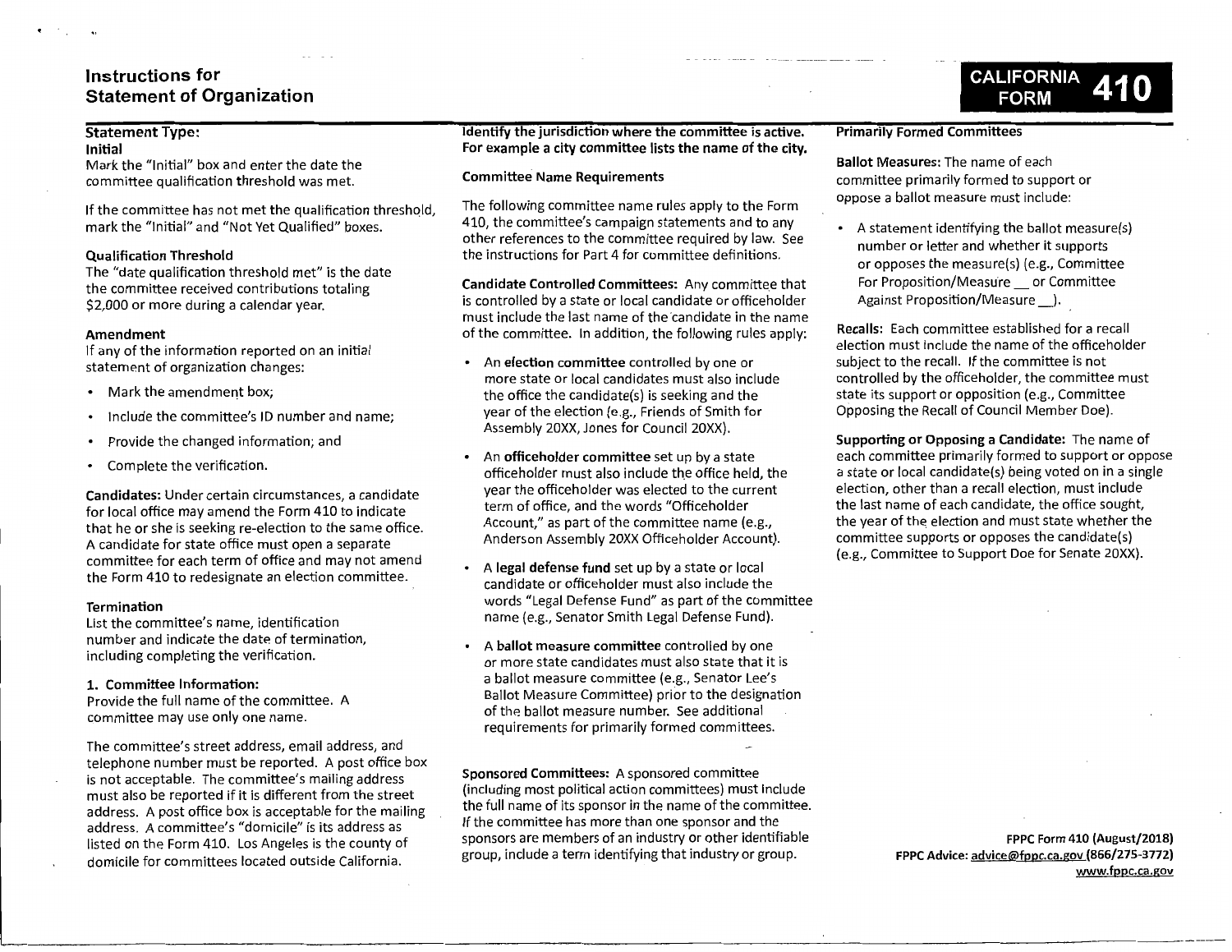# **Instructions for Statement of Organization**

# **Statement Type:**

#### **Initial**

Mark the "Initial" box and enter the date the committee qualification threshold was met.

If the committee has not met the qualification threshold, mark the "Initial" and "Not Yet Qualified" boxes.

#### **Qualification Threshold**

The "date qualification threshold met" is the date the committee received contributions totaling \$2,000 or more during a calendar year.

#### **Amendment**

If any of the information reported on an initial statement of organization changes:

- Mark the amendment box;
- Include the committee's ID number and name;
- Provide the changed information; and
- Complete the verification.

**Candidates:** Under certain circumstances, a candidate for local office may amend the Form 410 to indicate that he or she is seeking re-election to the same office. A candidate for state office must open a separate committee for each term of office and may not amend the Form 410 to redesignate an election committee.

### **Termination**

List the committee's name, identification number and indicate the date of termination, including completing the verification.

# **1. Committee Information:**

Provide the full name of the committee. A committee may use only one name.

The committee's street address, email address, and telephone number must be reported. A post office box is not acceptable. The committee's mailing address must also be reported if it is different from the street address. A post office box is acceptable for the mailing address. A committee's "domicile" is its address as listed on the Form 410. Los Angeles is the county of domicile for committees located outside California.

**Identify the jurisdiction where the committee is active. For example a city committee lists the name of the city.** 

## **Committee Name Requirements**

The following committee name rules apply to the Form 410, the committee's campaign statements and to any other references to the committee required by law. See the instructions for Part 4 for committee definitions.

**Candidate Controlled Committees:** Any committee that is controlled by a state or local candidate or officeholder must include the last name of the candidate in the name of the committee. In addition, the following rules apply:

- An **election committee** controlled by one or more state or local candidates must also include the office the candidate(s) is seeking and the year of the election (e.g., Friends of Smith for Assembly 20XX, Jones for Council 20XX).
- An **officeholder committee** set up by a state officeholder must also include the office held, the year the officeholder was elected to the current term of office, and the words "Officeholder Account," as part of the committee name (e.g., Anderson Assembly 20XX Officeholder Account).
- A **legal defense fund** set up by a state or local candidate or officeholder must also include the words "Legal Defense Fund" as part of the committee name (e.g., Senator Smith Legal Defense Fund).
- A **ballot measure committee** controlled by one or more state candidates must also state that it is a ballot measure committee (e.g., Senator Lee's Ballot Measure Committee) prior to the designation of the ballot measure number. See additional requirements for primarily formed committees.

**Sponsored Committees:** A sponsored committee (including most political action committees) must include the full name of its sponsor in the name of the committee. If the committee has more than one sponsor and the sponsors are members of an industry or other identifiable group, include a term identifying that industry or group.

#### **Primarily Formed Committees**

**Ballot Measures:** The name of each committee primarily formed to support or oppose a ballot measure must include:

• A statement identifying the ballot measure(s) number or letter and whether it supports or opposes the measure(s) (e.g., Committee For Proposition/Measure \_ or Committee Against Proposition/Measure \_\_\_.).

**Recalls:** Each committee established for a recall election must include the name of the officeholder subject to the recall. If the committee is not controlled by the officeholder, the committee must state its support or opposition (e.g., Committee Opposing the Recall of Council Member Doe).

**Supporting or Opposing a Candidate:** The name of each committee primarily formed to support or oppose a state or local candidate(s) being voted on in a single election, other than a recall election, must include the last name of each candidate, the office sought, the year of the election and must state whether the committee supports or opposes the candidate(s) (e.g., Committee to Support Doe for Senate 20XX).

> **FPPC Form 410 (August/2018) FPPC Advice:** advice@fppc.ca.gov **(866/275-3772) www.fppc.ca.gov**

**CALIFORNIA FORM**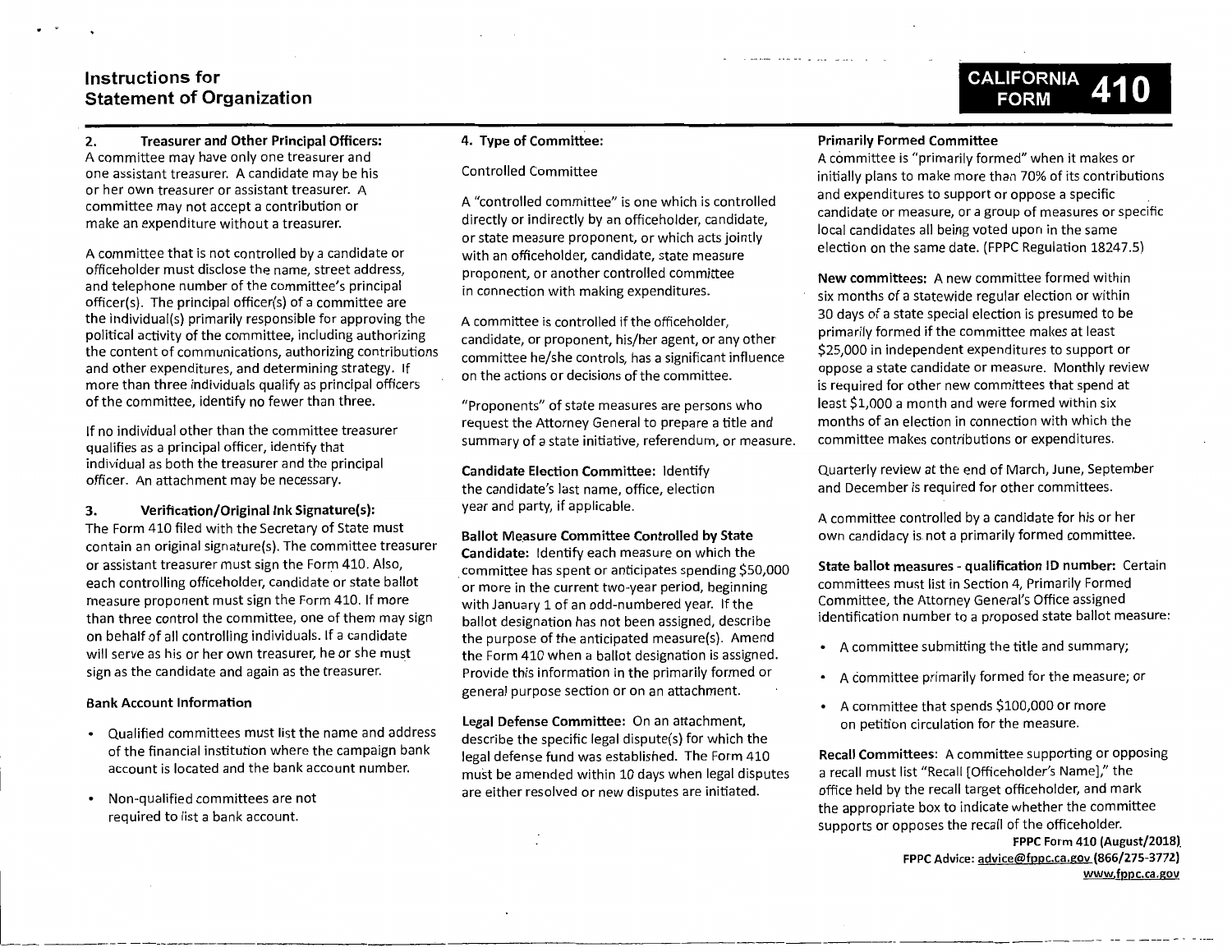# **Instructions for Statement of Organization**

# **2. Treasurer and Other Principal Officers:**  A committee may have only one treasurer and one assistant treasurer. A candidate may be his or her own treasurer or assistant treasurer. A committee may not accept a contribution or make an expenditure without a treasurer.

A committee that is not controlled by a candidate or officeholder must disclose the name, street address, and telephone number of the committee's principal officer(s). The principal officer(s) of a committee are the individual(s) primarily responsible for approving the political activity of the committee, including authorizing the content of communications, authorizing contributions and other expenditures, and determining strategy. If more than three individuals qualify as principal officers of the committee, identify no fewer than three.

If no individual other than the committee treasurer qualifies as a principal officer, identify that individual as both the treasurer and the principal officer. An attachment may be necessary.

**3. Verification/Original Ink Signature(s):**  The Form 410 filed with the Secretary of State must contain an original signature(s). The committee treasurer or assistant treasurer must sign the Form 410. Also, each controlling officeholder, candidate or state ballot measure proponent must sign the Form 410. If more than three control the committee, one of them may sign on behalf of all controlling individuals. If a candidate will serve as his or her own treasurer, he or she must sign as the candidate and again as the treasurer.

#### **Bank Account Information**

- Qualified committees must list the name and address of the financial institution where the campaign bank account is located and the bank account number.
- Non-qualified committees are not required to list a bank account.

#### **4. Type of Committee:**

## Controlled Committee

A "controlled committee" is one which is controlled directly or indirectly by an officeholder, candidate, or state measure proponent, or which acts jointly with an officeholder, candidate, state measure proponent, or another controlled committee in connection with making expenditures.

A committee is controlled if the officeholder, candidate, or proponent, his/her agent, or any other committee he/she controls, has a significant influence on the actions or decisions of the committee.

"Proponents" of state measures are persons who request the Attorney General to prepare a title and summary of a state initiative, referendum, or measure.

**Candidate Election Committee:** Identify the candidate's last name, office, election year and party, if applicable.

# **Ballot Measure Committee Controlled by State Candidate:** Identify each measure on which the . committee has spent or anticipates spending \$50,000 or more in the current two-year period, beginning with January 1 of an odd-numbered year. If the ballot designation has not been assigned, describe the purpose of the anticipated measure(s). Amend the Form 410 when a ballot designation is assigned. Provide this information in the primarily formed or general purpose section or on an attachment.

**Legal Defense Committee:** On an attachment, describe the specific legal dispute(s) for which the legal defense fund was established. The Form 410 must be amended within 10 days when legal disputes are either resolved or new disputes are initiated.

 $\cdot$  .  $\cdot$ 

## **Primarily Formed Committee**

A committee is "primarily formed" when it makes or initially plans to make more than 70% of its contributions and expenditures to support or oppose a specific candidate or measure, or a group of measures or specific local candidates all being voted upon in the same election on the same date. (FPPC Regulation 18247.5)

**CALIFORNIA 41 Q FORM** 

**New committees:** A new committee formed within six months of a statewide regular election or within 30 days of a state special election is presumed to be primarily formed if the committee makes at least \$25,000 in independent expenditures to support or oppose a state candidate or measure. Monthly review is required for other new committees that spend at least \$1,000 a month and were formed within six months of an election in connection with which the committee makes contributions or expenditures.

Quarterly review at the end of March, June, September and December is required for other committees.

A committee controlled by a candidate for his or her own candidacy is not a primarily formed committee.

**State ballot measures** - **qualification ID number:** Certain committees must list in Section 4, Primarily Formed Committee, the Attorney General's Office assigned identification number to a proposed state ballot measure:

- A committee submitting the title and summary;
- A committee primarily formed for the measure; or
- A committee that spends \$100,000 or more on petition circulation for the measure.

**Recall Committees:** A committee supporting or opposing a recall must list "Recall [Officeholder's Name]," the office held by the recall target officeholder, and mark the appropriate box to indicate whether the committee supports or opposes the recall of the officeholder.

> **FPPC Form 410 (August/2018)\_ FPPC Advice: advice@fppc.ca.gov {866/275-3772) www.fppc.ca.gov**